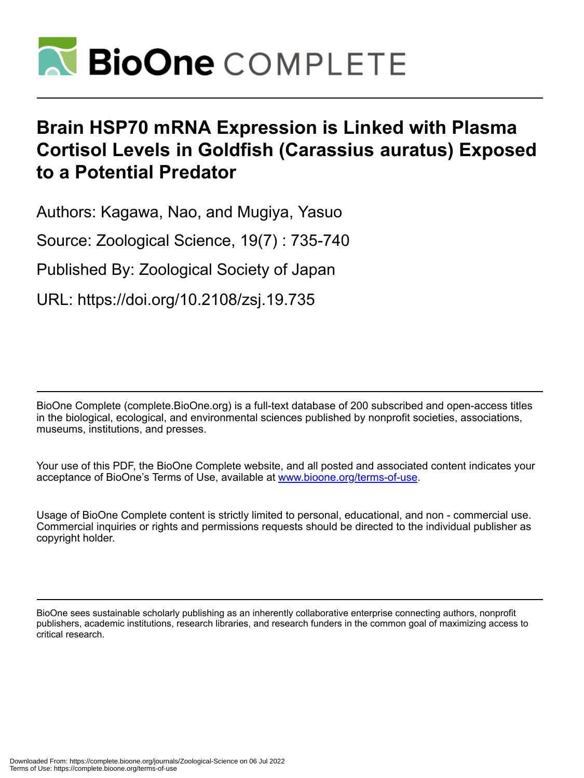

# **Brain HSP70 mRNA Expression is Linked with Plasma Cortisol Levels in Goldfish (Carassius auratus) Exposed to a Potential Predator**

Authors: Kagawa, Nao, and Mugiya, Yasuo

Source: Zoological Science, 19(7) : 735-740

Published By: Zoological Society of Japan

URL: https://doi.org/10.2108/zsj.19.735

BioOne Complete (complete.BioOne.org) is a full-text database of 200 subscribed and open-access titles in the biological, ecological, and environmental sciences published by nonprofit societies, associations, museums, institutions, and presses.

Your use of this PDF, the BioOne Complete website, and all posted and associated content indicates your acceptance of BioOne's Terms of Use, available at www.bioone.org/terms-of-use.

Usage of BioOne Complete content is strictly limited to personal, educational, and non - commercial use. Commercial inquiries or rights and permissions requests should be directed to the individual publisher as copyright holder.

BioOne sees sustainable scholarly publishing as an inherently collaborative enterprise connecting authors, nonprofit publishers, academic institutions, research libraries, and research funders in the common goal of maximizing access to critical research.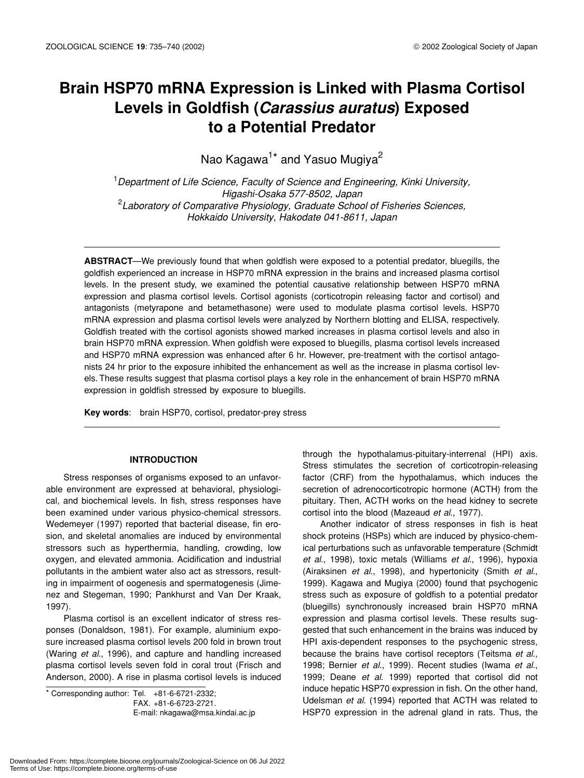# **Brain HSP70 mRNA Expression is Linked with Plasma Cortisol Levels in Goldfish (***Carassius auratus***) Exposed to a Potential Predator**

Nao Kagawa<sup>1\*</sup> and Yasuo Mugiya<sup>2</sup>

1 *Department of Life Science, Faculty of Science and Engineering, Kinki University, Higashi-Osaka 577-8502, Japan* 2 *Laboratory of Comparative Physiology, Graduate School of Fisheries Sciences, Hokkaido University, Hakodate 041-8611, Japan*

**ABSTRACT**—We previously found that when goldfish were exposed to a potential predator, bluegills, the goldfish experienced an increase in HSP70 mRNA expression in the brains and increased plasma cortisol levels. In the present study, we examined the potential causative relationship between HSP70 mRNA expression and plasma cortisol levels. Cortisol agonists (corticotropin releasing factor and cortisol) and antagonists (metyrapone and betamethasone) were used to modulate plasma cortisol levels. HSP70 mRNA expression and plasma cortisol levels were analyzed by Northern blotting and ELISA, respectively. Goldfish treated with the cortisol agonists showed marked increases in plasma cortisol levels and also in brain HSP70 mRNA expression. When goldfish were exposed to bluegills, plasma cortisol levels increased and HSP70 mRNA expression was enhanced after 6 hr. However, pre-treatment with the cortisol antagonists 24 hr prior to the exposure inhibited the enhancement as well as the increase in plasma cortisol levels. These results suggest that plasma cortisol plays a key role in the enhancement of brain HSP70 mRNA expression in goldfish stressed by exposure to bluegills.

**Key words**: brain HSP70, cortisol, predator-prey stress

# **INTRODUCTION**

Stress responses of organisms exposed to an unfavorable environment are expressed at behavioral, physiological, and biochemical levels. In fish, stress responses have been examined under various physico-chemical stressors. Wedemeyer (1997) reported that bacterial disease, fin erosion, and skeletal anomalies are induced by environmental stressors such as hyperthermia, handling, crowding, low oxygen, and elevated ammonia. Acidification and industrial pollutants in the ambient water also act as stressors, resulting in impairment of oogenesis and spermatogenesis (Jimenez and Stegeman, 1990; Pankhurst and Van Der Kraak, 1997).

Plasma cortisol is an excellent indicator of stress responses (Donaldson, 1981). For example, aluminium exposure increased plasma cortisol levels 200 fold in brown trout (Waring *et al*., 1996), and capture and handling increased plasma cortisol levels seven fold in coral trout (Frisch and Anderson, 2000). A rise in plasma cortisol levels is induced

\* Corresponding author: Tel. +81-6-6721-2332; FAX. +81-6-6723-2721.

E-mail: nkagawa@msa.kindai.ac.jp

through the hypothalamus-pituitary-interrenal (HPI) axis. Stress stimulates the secretion of corticotropin-releasing factor (CRF) from the hypothalamus, which induces the secretion of adrenocorticotropic hormone (ACTH) from the pituitary. Then, ACTH works on the head kidney to secrete cortisol into the blood (Mazeaud *et al*., 1977).

Another indicator of stress responses in fish is heat shock proteins (HSPs) which are induced by physico-chemical perturbations such as unfavorable temperature (Schmidt *et al*., 1998), toxic metals (Williams *et al*., 1996), hypoxia (Airaksinen *et al*., 1998), and hypertonicity (Smith *et al*., 1999). Kagawa and Mugiya (2000) found that psychogenic stress such as exposure of goldfish to a potential predator (bluegills) synchronously increased brain HSP70 mRNA expression and plasma cortisol levels. These results suggested that such enhancement in the brains was induced by HPI axis-dependent responses to the psychogenic stress, because the brains have cortisol receptors (Teitsma *et al*., 1998; Bernier *et al*., 1999). Recent studies (Iwama *et al*., 1999; Deane *et al*. 1999) reported that cortisol did not induce hepatic HSP70 expression in fish. On the other hand, Udelsman *et al*. (1994) reported that ACTH was related to HSP70 expression in the adrenal gland in rats. Thus, the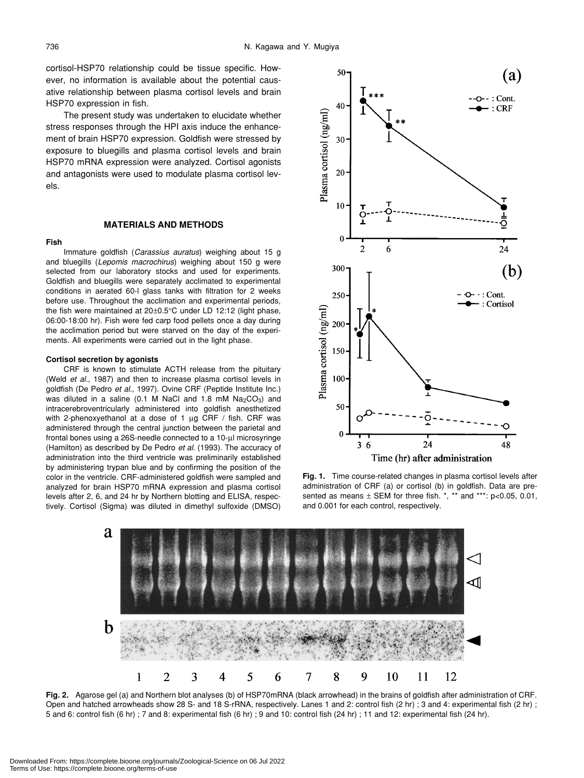cortisol-HSP70 relationship could be tissue specific. However, no information is available about the potential causative relationship between plasma cortisol levels and brain HSP70 expression in fish.

The present study was undertaken to elucidate whether stress responses through the HPI axis induce the enhancement of brain HSP70 expression. Goldfish were stressed by exposure to bluegills and plasma cortisol levels and brain HSP70 mRNA expression were analyzed. Cortisol agonists and antagonists were used to modulate plasma cortisol levels.

#### **MATERIALS AND METHODS**

#### **Fish**

Immature goldfish (*Carassius auratus*) weighing about 15 g and bluegills (*Lepomis macrochirus*) weighing about 150 g were selected from our laboratory stocks and used for experiments. Goldfish and bluegills were separately acclimated to experimental conditions in aerated 60-l glass tanks with filtration for 2 weeks before use. Throughout the acclimation and experimental periods, the fish were maintained at 20±0.5°C under LD 12:12 (light phase, 06:00-18:00 hr). Fish were fed carp food pellets once a day during the acclimation period but were starved on the day of the experiments. All experiments were carried out in the light phase.

#### **Cortisol secretion by agonists**

CRF is known to stimulate ACTH release from the pituitary (Weld *et al*., 1987) and then to increase plasma cortisol levels in goldfish (De Pedro *et al*., 1997). Ovine CRF (Peptide Institute Inc.) was diluted in a saline (0.1 M NaCl and 1.8 mM  $Na<sub>2</sub>CO<sub>3</sub>$ ) and intracerebroventricularly administered into goldfish anesthetized with 2-phenoxyethanol at a dose of 1 µg CRF / fish. CRF was administered through the central junction between the parietal and frontal bones using a 26S-needle connected to a 10-µl microsyringe (Hamilton) as described by De Pedro *et al*. (1993). The accuracy of administration into the third ventricle was preliminarily established by administering trypan blue and by confirming the position of the color in the ventricle. CRF-administered goldfish were sampled and analyzed for brain HSP70 mRNA expression and plasma cortisol levels after 2, 6, and 24 hr by Northern blotting and ELISA, respectively. Cortisol (Sigma) was diluted in dimethyl sulfoxide (DMSO)







**Fig. 2.** Agarose gel (a) and Northern blot analyses (b) of HSP70mRNA (black arrowhead) in the brains of goldfish after administration of CRF. Open and hatched arrowheads show 28 S- and 18 S-rRNA, respectively. Lanes 1 and 2: control fish (2 hr) ; 3 and 4: experimental fish (2 hr) ; 5 and 6: control fish (6 hr) ; 7 and 8: experimental fish (6 hr) ; 9 and 10: control fish (24 hr) ; 11 and 12: experimental fish (24 hr).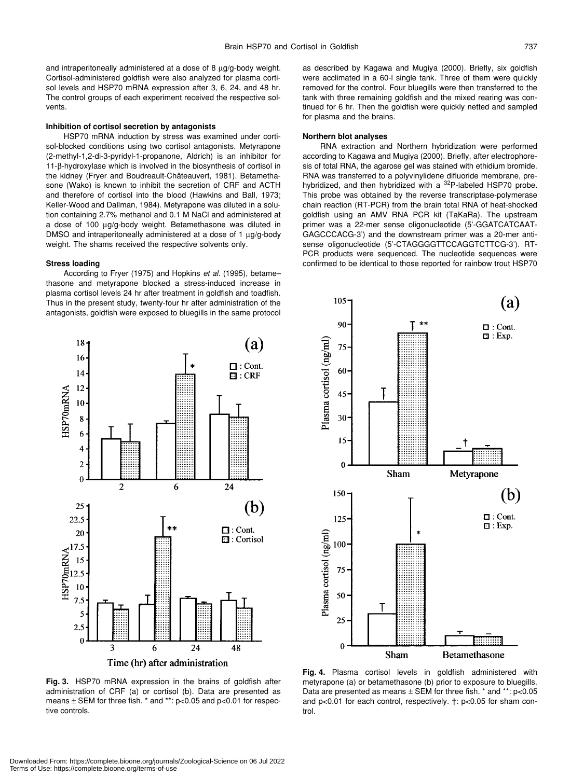and intraperitoneally administered at a dose of 8  $\mu$ g/g-body weight. Cortisol-administered goldfish were also analyzed for plasma cortisol levels and HSP70 mRNA expression after 3, 6, 24, and 48 hr. The control groups of each experiment received the respective solvents.

#### **Inhibition of cortisol secretion by antagonists**

HSP70 mRNA induction by stress was examined under cortisol-blocked conditions using two cortisol antagonists. Metyrapone (2-methyl-1,2-di-3-pyridyl-1-propanone, Aldrich) is an inhibitor for 11-β-hydroxylase which is involved in the biosynthesis of cortisol in the kidney (Fryer and Boudreault-Châteauvert, 1981). Betamethasone (Wako) is known to inhibit the secretion of CRF and ACTH and therefore of cortisol into the blood (Hawkins and Ball, 1973; Keller-Wood and Dallman, 1984). Metyrapone was diluted in a solution containing 2.7% methanol and 0.1 M NaCl and administered at a dose of 100 µg/g-body weight. Betamethasone was diluted in DMSO and intraperitoneally administered at a dose of 1 µg/g-body weight. The shams received the respective solvents only.

#### **Stress loading**

According to Fryer (1975) and Hopkins *et al*. (1995), betame– thasone and metyrapone blocked a stress-induced increase in plasma cortisol levels 24 hr after treatment in goldfish and toadfish. Thus in the present study, twenty-four hr after administration of the antagonists, goldfish were exposed to bluegills in the same protocol as described by Kagawa and Mugiya (2000). Briefly, six goldfish were acclimated in a 60-l single tank. Three of them were quickly removed for the control. Four bluegills were then transferred to the tank with three remaining goldfish and the mixed rearing was continued for 6 hr. Then the goldfish were quickly netted and sampled for plasma and the brains.

#### **Northern blot analyses**

RNA extraction and Northern hybridization were performed according to Kagawa and Mugiya (2000). Briefly, after electrophoresis of total RNA, the agarose gel was stained with ethidium bromide. RNA was transferred to a polyvinylidene difluoride membrane, prehybridized, and then hybridized with a <sup>32</sup>P-labeled HSP70 probe. This probe was obtained by the reverse transcriptase-polymerase chain reaction (RT-PCR) from the brain total RNA of heat-shocked goldfish using an AMV RNA PCR kit (TaKaRa). The upstream primer was a 22-mer sense oligonucleotide (5'-GGATCATCAAT-GAGCCCACG-3') and the downstream primer was a 20-mer antisense oligonucleotide (5'-CTAGGGGTTCCAGGTCTTCG-3'). RT-PCR products were sequenced. The nucleotide sequences were confirmed to be identical to those reported for rainbow trout HSP70



Time (hr) after administration

**Fig. 3.** HSP70 mRNA expression in the brains of goldfish after administration of CRF (a) or cortisol (b). Data are presented as means ± SEM for three fish. \* and \*\*: p<0.05 and p<0.01 for respecmetyrapone (a) or betamethasone (b) prior to exposure to bluegills. Data are presented as means  $\pm$  SEM for three fish.  $*$  and  $**$ : p<0.05 and p<0.01 for each control, respectively.  $\dagger$ : p<0.05 for sham control.



tive controls.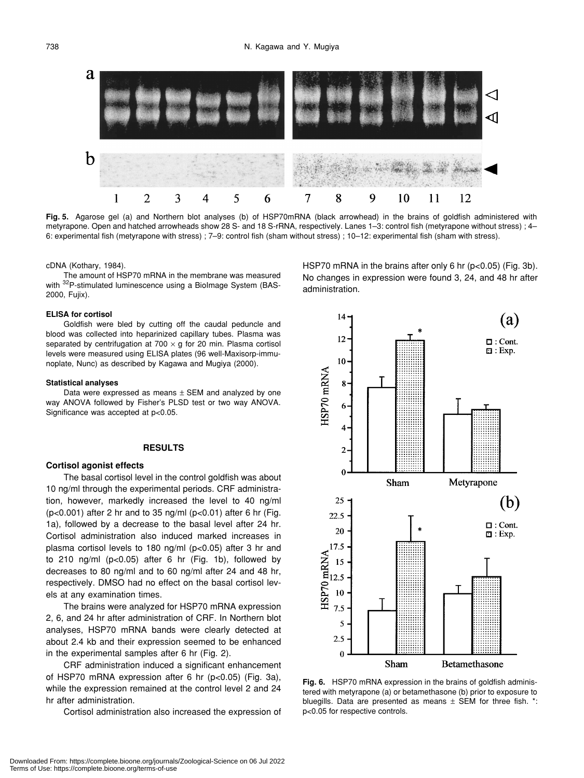

**Fig. 5.** Agarose gel (a) and Northern blot analyses (b) of HSP70mRNA (black arrowhead) in the brains of goldfish administered with metyrapone. Open and hatched arrowheads show 28 S- and 18 S-rRNA, respectively. Lanes 1–3: control fish (metyrapone without stress) ; 4– 6: experimental fish (metyrapone with stress) ; 7–9: control fish (sham without stress) ; 10–12: experimental fish (sham with stress).

administration.

cDNA (Kothary, 1984).

The amount of HSP70 mRNA in the membrane was measured with <sup>32</sup>P-stimulated luminescence using a BioImage System (BAS-2000, Fujix).

#### **ELISA for cortisol**

Goldfish were bled by cutting off the caudal peduncle and blood was collected into heparinized capillary tubes. Plasma was separated by centrifugation at 700  $\times$  g for 20 min. Plasma cortisol levels were measured using ELISA plates (96 well-Maxisorp-immunoplate, Nunc) as described by Kagawa and Mugiya (2000).

#### **Statistical analyses**

Data were expressed as means  $\pm$  SEM and analyzed by one way ANOVA followed by Fisher's PLSD test or two way ANOVA. Significance was accepted at p<0.05.

## **RESULTS**

### **Cortisol agonist effects**

The basal cortisol level in the control goldfish was about 10 ng/ml through the experimental periods. CRF administration, however, markedly increased the level to 40 ng/ml ( $p<0.001$ ) after 2 hr and to 35 ng/ml ( $p<0.01$ ) after 6 hr (Fig. 1a), followed by a decrease to the basal level after 24 hr. Cortisol administration also induced marked increases in plasma cortisol levels to 180 ng/ml (p<0.05) after 3 hr and to 210 ng/ml  $(p<0.05)$  after 6 hr (Fig. 1b), followed by decreases to 80 ng/ml and to 60 ng/ml after 24 and 48 hr, respectively. DMSO had no effect on the basal cortisol levels at any examination times.

The brains were analyzed for HSP70 mRNA expression 2, 6, and 24 hr after administration of CRF. In Northern blot analyses, HSP70 mRNA bands were clearly detected at about 2.4 kb and their expression seemed to be enhanced in the experimental samples after 6 hr (Fig. 2).

CRF administration induced a significant enhancement of HSP70 mRNA expression after 6 hr (p<0.05) (Fig. 3a), while the expression remained at the control level 2 and 24 hr after administration.

Cortisol administration also increased the expression of

14  $(a)$ 12  $\Box$ : Cont.  $\mathbf{\Xi}$ : Exp. 10 HSP70 mRNA 8 6 4  $\overline{2}$  $\mathbf{0}$ Sham Metyrapone 25 (b) 22.5  $\Box$ : Cont. 20  $\Box$  : Exp.  $17.5$ HSP70 mRNA 15  $12.5$ 10 7.5 5 2.5  $\bf{0}$ 

HSP70 mRNA in the brains after only 6 hr (p<0.05) (Fig. 3b). No changes in expression were found 3, 24, and 48 hr after

Betamethasone

**Fig. 6.** HSP70 mRNA expression in the brains of goldfish administered with metyrapone (a) or betamethasone (b) prior to exposure to bluegills. Data are presented as means  $\pm$  SEM for three fish.  $\cdot$ : p<0.05 for respective controls.

Sham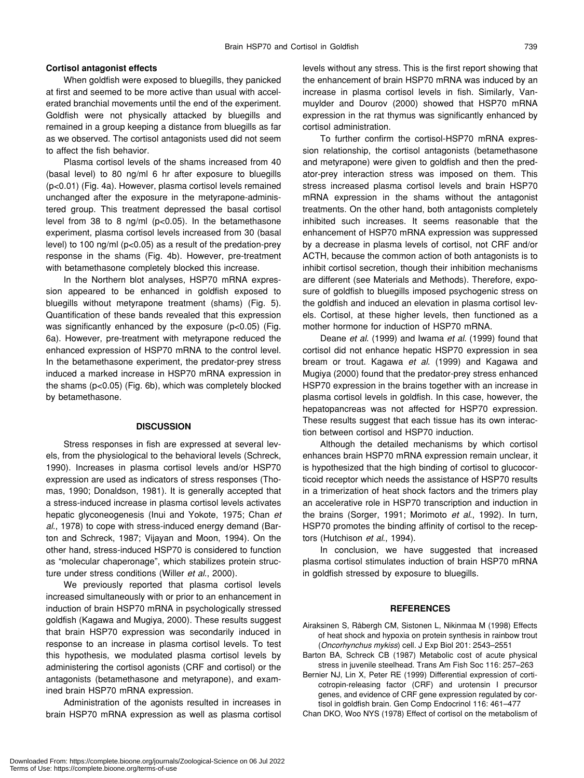# **Cortisol antagonist effects**

When goldfish were exposed to bluegills, they panicked at first and seemed to be more active than usual with accelerated branchial movements until the end of the experiment. Goldfish were not physically attacked by bluegills and remained in a group keeping a distance from bluegills as far as we observed. The cortisol antagonists used did not seem to affect the fish behavior.

Plasma cortisol levels of the shams increased from 40 (basal level) to 80 ng/ml 6 hr after exposure to bluegills (p<0.01) (Fig. 4a). However, plasma cortisol levels remained unchanged after the exposure in the metyrapone-administered group. This treatment depressed the basal cortisol level from 38 to 8 ng/ml (p<0.05). In the betamethasone experiment, plasma cortisol levels increased from 30 (basal level) to 100 ng/ml (p<0.05) as a result of the predation-prey response in the shams (Fig. 4b). However, pre-treatment with betamethasone completely blocked this increase.

In the Northern blot analyses, HSP70 mRNA expression appeared to be enhanced in goldfish exposed to bluegills without metyrapone treatment (shams) (Fig. 5). Quantification of these bands revealed that this expression was significantly enhanced by the exposure (p<0.05) (Fig. 6a). However, pre-treatment with metyrapone reduced the enhanced expression of HSP70 mRNA to the control level. In the betamethasone experiment, the predator-prey stress induced a marked increase in HSP70 mRNA expression in the shams (p<0.05) (Fig. 6b), which was completely blocked by betamethasone.

#### **DISCUSSION**

Stress responses in fish are expressed at several levels, from the physiological to the behavioral levels (Schreck, 1990). Increases in plasma cortisol levels and/or HSP70 expression are used as indicators of stress responses (Thomas, 1990; Donaldson, 1981). It is generally accepted that a stress-induced increase in plasma cortisol levels activates hepatic glyconeogenesis (Inui and Yokote, 1975; Chan *et al*., 1978) to cope with stress-induced energy demand (Barton and Schreck, 1987; Vijayan and Moon, 1994). On the other hand, stress-induced HSP70 is considered to function as "molecular chaperonage", which stabilizes protein structure under stress conditions (Willer *et al*., 2000).

We previously reported that plasma cortisol levels increased simultaneously with or prior to an enhancement in induction of brain HSP70 mRNA in psychologically stressed goldfish (Kagawa and Mugiya, 2000). These results suggest that brain HSP70 expression was secondarily induced in response to an increase in plasma cortisol levels. To test this hypothesis, we modulated plasma cortisol levels by administering the cortisol agonists (CRF and cortisol) or the antagonists (betamethasone and metyrapone), and examined brain HSP70 mRNA expression.

Administration of the agonists resulted in increases in brain HSP70 mRNA expression as well as plasma cortisol levels without any stress. This is the first report showing that the enhancement of brain HSP70 mRNA was induced by an increase in plasma cortisol levels in fish. Similarly, Vanmuylder and Dourov (2000) showed that HSP70 mRNA expression in the rat thymus was significantly enhanced by cortisol administration.

To further confirm the cortisol-HSP70 mRNA expression relationship, the cortisol antagonists (betamethasone and metyrapone) were given to goldfish and then the predator-prey interaction stress was imposed on them. This stress increased plasma cortisol levels and brain HSP70 mRNA expression in the shams without the antagonist treatments. On the other hand, both antagonists completely inhibited such increases. It seems reasonable that the enhancement of HSP70 mRNA expression was suppressed by a decrease in plasma levels of cortisol, not CRF and/or ACTH, because the common action of both antagonists is to inhibit cortisol secretion, though their inhibition mechanisms are different (see Materials and Methods). Therefore, exposure of goldfish to bluegills imposed psychogenic stress on the goldfish and induced an elevation in plasma cortisol levels. Cortisol, at these higher levels, then functioned as a mother hormone for induction of HSP70 mRNA.

Deane *et al*. (1999) and Iwama *et al*. (1999) found that cortisol did not enhance hepatic HSP70 expression in sea bream or trout. Kagawa *et al*. (1999) and Kagawa and Mugiya (2000) found that the predator-prey stress enhanced HSP70 expression in the brains together with an increase in plasma cortisol levels in goldfish. In this case, however, the hepatopancreas was not affected for HSP70 expression. These results suggest that each tissue has its own interaction between cortisol and HSP70 induction.

Although the detailed mechanisms by which cortisol enhances brain HSP70 mRNA expression remain unclear, it is hypothesized that the high binding of cortisol to glucocorticoid receptor which needs the assistance of HSP70 results in a trimerization of heat shock factors and the trimers play an accelerative role in HSP70 transcription and induction in the brains (Sorger, 1991; Morimoto *et al*., 1992). In turn, HSP70 promotes the binding affinity of cortisol to the receptors (Hutchison *et al*., 1994).

In conclusion, we have suggested that increased plasma cortisol stimulates induction of brain HSP70 mRNA in goldfish stressed by exposure to bluegills.

#### **REFERENCES**

- Airaksinen S, Råbergh CM, Sistonen L, Nikinmaa M (1998) Effects of heat shock and hypoxia on protein synthesis in rainbow trout (*Oncorhynchus mykiss*) cell. J Exp Biol 201: 2543–2551
- Barton BA, Schreck CB (1987) Metabolic cost of acute physical stress in juvenile steelhead. Trans Am Fish Soc 116: 257–263
- Bernier NJ, Lin X, Peter RE (1999) Differential expression of corticotropin-releasing factor (CRF) and urotensin I precursor genes, and evidence of CRF gene expression regulated by cortisol in goldfish brain. Gen Comp Endocrinol 116: 461–477

Chan DKO, Woo NYS (1978) Effect of cortisol on the metabolism of